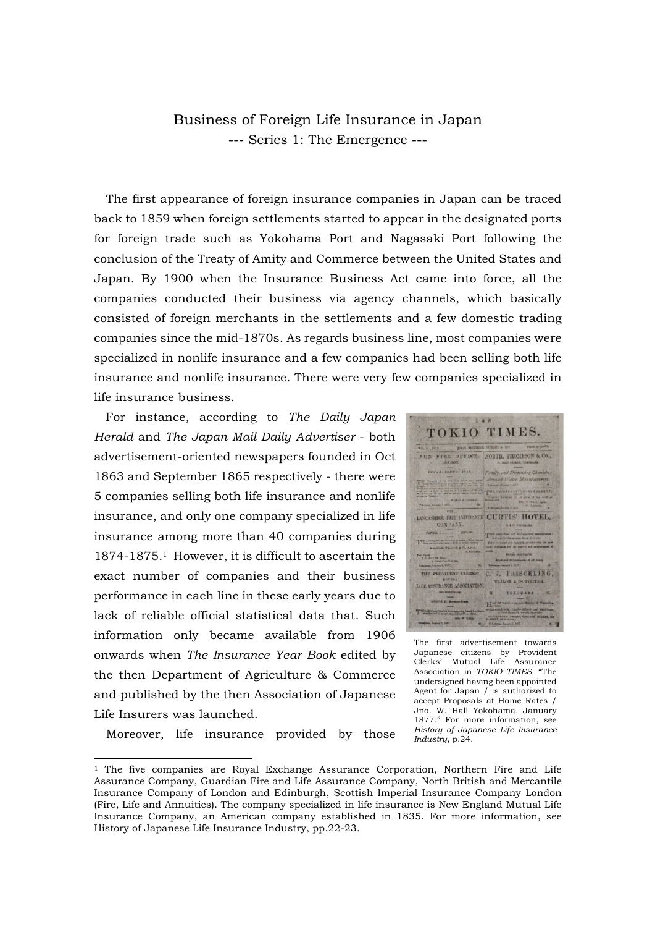## Business of Foreign Life Insurance in Japan --- Series 1: The Emergence ---

The first appearance of foreign insurance companies in Japan can be traced back to 1859 when foreign settlements started to appear in the designated ports for foreign trade such as Yokohama Port and Nagasaki Port following the conclusion of the Treaty of Amity and Commerce between the United States and Japan. By 1900 when the Insurance Business Act came into force, all the companies conducted their business via agency channels, which basically consisted of foreign merchants in the settlements and a few domestic trading companies since the mid-1870s. As regards business line, most companies were specialized in nonlife insurance and a few companies had been selling both life insurance and nonlife insurance. There were very few companies specialized in life insurance business.

For instance, according to *The Daily Japan Herald* and *The Japan Mail Daily Advertiser* - both advertisement-oriented newspapers founded in Oct 1863 and September 1865 respectively - there were 5 companies selling both life insurance and nonlife insurance, and only one company specialized in life insurance among more than 40 companies during 1874-1875.1 However, it is difficult to ascertain the exact number of companies and their business performance in each line in these early years due to lack of reliable official statistical data that. Such information only became available from 1906 onwards when *The Insurance Year Book* edited by the then Department of Agriculture & Commerce and published by the then Association of Japanese Life Insurers was launched.

Moreover, life insurance provided by those

-

THE TOKIO TIMES. SUN FIRE OFFICE. NORTH, THOMPSON & Co., EVY 481 17 UKD. 1714 , then, and to some times rund to<br>move the sequent a contract of the second to the second to the second to the<br>day of the second to the second to the second to the second to the second to the second to the second to the s LANCASHIME FIRE INSURANCE CURTIS' HOTEL, CONPANY. THE PROVIDENT CLERKS! C. J. FRISCHLING, TAILOR & OUTHITER LIFE ASSERANCE ASSOCIATION TOROUANA  $\sim$ Hum The magnetic state is a spinet

The first advertisement towards Japanese citizens by Provident Mutual Life Assurance Association in *TOKIO TIMES*: "The undersigned having been appointed Agent for Japan / is authorized to accept Proposals at Home Rates / Jno. W. Hall Yokohama, January 1877." For more information, see *History of Japanese Life Insurance Industry*, p.24.

<sup>1</sup> The five companies are Royal Exchange Assurance Corporation, Northern Fire and Life Assurance Company, Guardian Fire and Life Assurance Company, North British and Mercantile Insurance Company of London and Edinburgh, Scottish Imperial Insurance Company London (Fire, Life and Annuities). The company specialized in life insurance is New England Mutual Life Insurance Company, an American company established in 1835. For more information, see History of Japanese Life Insurance Industry, pp.22-23.